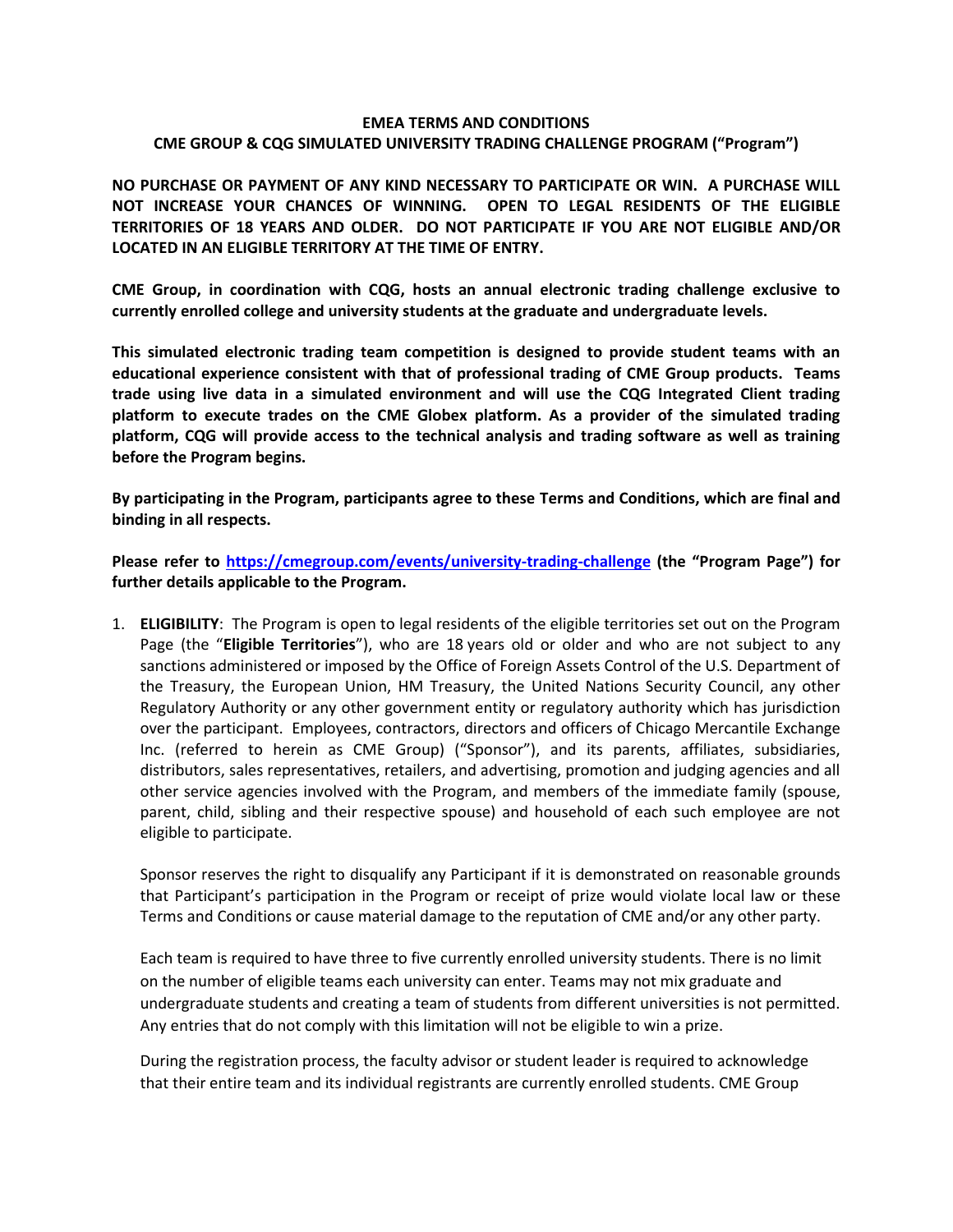#### **EMEA TERMS AND CONDITIONS CME GROUP & CQG SIMULATED UNIVERSITY TRADING CHALLENGE PROGRAM ("Program")**

**NO PURCHASE OR PAYMENT OF ANY KIND NECESSARY TO PARTICIPATE OR WIN. A PURCHASE WILL NOT INCREASE YOUR CHANCES OF WINNING. OPEN TO LEGAL RESIDENTS OF THE ELIGIBLE TERRITORIES OF 18 YEARS AND OLDER. DO NOT PARTICIPATE IF YOU ARE NOT ELIGIBLE AND/OR LOCATED IN AN ELIGIBLE TERRITORY AT THE TIME OF ENTRY.**

**CME Group, in coordination with CQG, hosts an annual electronic trading challenge exclusive to currently enrolled college and university students at the graduate and undergraduate levels.** 

**This simulated electronic trading team competition is designed to provide student teams with an educational experience consistent with that of professional trading of CME Group products. Teams trade using live data in a simulated environment and will use the CQG Integrated Client trading platform to execute trades on the CME Globex platform. As a provider of the simulated trading platform, CQG will provide access to the technical analysis and trading software as well as training before the Program begins.**

**By participating in the Program, participants agree to these Terms and Conditions, which are final and binding in all respects.** 

**Please refer to<https://cmegroup.com/events/university-trading-challenge> (the "Program Page") for further details applicable to the Program.**

1. **ELIGIBILITY**: The Program is open to legal residents of the eligible territories set out on the Program Page (the "**Eligible Territories**"), who are 18 years old or older and who are not subject to any sanctions administered or imposed by the Office of Foreign Assets Control of the U.S. Department of the Treasury, the European Union, HM Treasury, the United Nations Security Council, any other Regulatory Authority or any other government entity or regulatory authority which has jurisdiction over the participant. Employees, contractors, directors and officers of Chicago Mercantile Exchange Inc. (referred to herein as CME Group) ("Sponsor"), and its parents, affiliates, subsidiaries, distributors, sales representatives, retailers, and advertising, promotion and judging agencies and all other service agencies involved with the Program, and members of the immediate family (spouse, parent, child, sibling and their respective spouse) and household of each such employee are not eligible to participate.

Sponsor reserves the right to disqualify any Participant if it is demonstrated on reasonable grounds that Participant's participation in the Program or receipt of prize would violate local law or these Terms and Conditions or cause material damage to the reputation of CME and/or any other party.

Each team is required to have three to five currently enrolled university students. There is no limit on the number of eligible teams each university can enter. Teams may not mix graduate and undergraduate students and creating a team of students from different universities is not permitted. Any entries that do not comply with this limitation will not be eligible to win a prize.

During the registration process, the faculty advisor or student leader is required to acknowledge that their entire team and its individual registrants are currently enrolled students. CME Group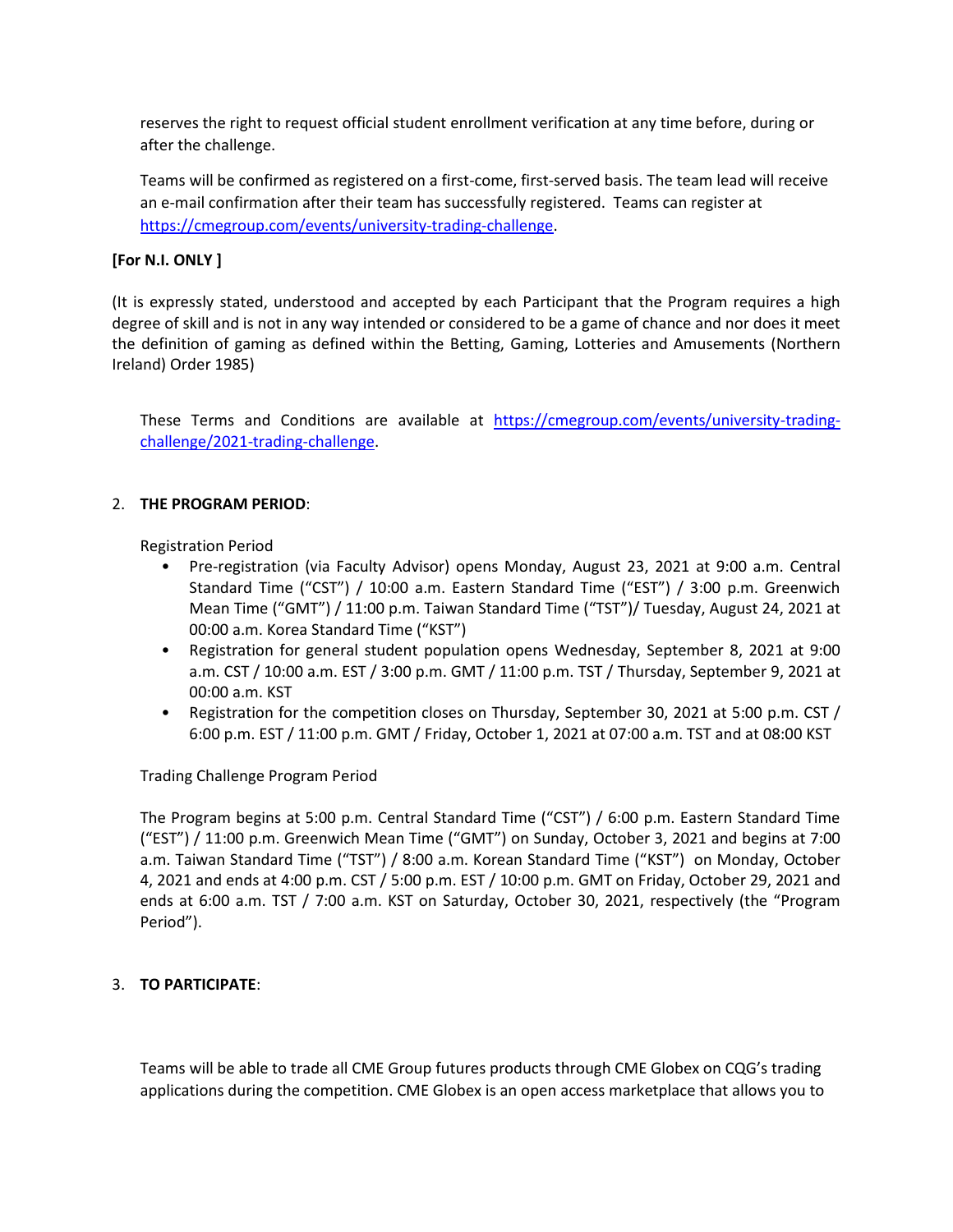reserves the right to request official student enrollment verification at any time before, during or after the challenge.

Teams will be confirmed as registered on a first-come, first-served basis. The team lead will receive an e-mail confirmation after their team has successfully registered. Teams can register at [https://cmegroup.com/events/university-trading-challenge.](https://cmegroup.com/events/university-trading-challenge)

# **[For N.I. ONLY ]**

(It is expressly stated, understood and accepted by each Participant that the Program requires a high degree of skill and is not in any way intended or considered to be a game of chance and nor does it meet the definition of gaming as defined within the Betting, Gaming, Lotteries and Amusements (Northern Ireland) Order 1985)

These Terms and Conditions are available at [https://cmegroup.com/events/university-trading](https://cmegroup.com/events/university-trading-challenge/2021-trading-challenge)[challenge/2021-trading-challenge.](https://cmegroup.com/events/university-trading-challenge/2021-trading-challenge)

## 2. **THE PROGRAM PERIOD**:

Registration Period

- Pre-registration (via Faculty Advisor) opens Monday, August 23, 2021 at 9:00 a.m. Central Standard Time ("CST") / 10:00 a.m. Eastern Standard Time ("EST") / 3:00 p.m. Greenwich Mean Time ("GMT") / 11:00 p.m. Taiwan Standard Time ("TST")/ Tuesday, August 24, 2021 at 00:00 a.m. Korea Standard Time ("KST")
- Registration for general student population opens Wednesday, September 8, 2021 at 9:00 a.m. CST / 10:00 a.m. EST / 3:00 p.m. GMT / 11:00 p.m. TST / Thursday, September 9, 2021 at 00:00 a.m. KST
- Registration for the competition closes on Thursday, September 30, 2021 at 5:00 p.m. CST / 6:00 p.m. EST / 11:00 p.m. GMT / Friday, October 1, 2021 at 07:00 a.m. TST and at 08:00 KST

Trading Challenge Program Period

The Program begins at 5:00 p.m. Central Standard Time ("CST") / 6:00 p.m. Eastern Standard Time ("EST") / 11:00 p.m. Greenwich Mean Time ("GMT") on Sunday, October 3, 2021 and begins at 7:00 a.m. Taiwan Standard Time ("TST") / 8:00 a.m. Korean Standard Time ("KST") on Monday, October 4, 2021 and ends at 4:00 p.m. CST / 5:00 p.m. EST / 10:00 p.m. GMT on Friday, October 29, 2021 and ends at 6:00 a.m. TST / 7:00 a.m. KST on Saturday, October 30, 2021, respectively (the "Program Period").

#### 3. **TO PARTICIPATE**:

Teams will be able to trade all CME Group futures products through CME Globex on CQG's trading applications during the competition. CME Globex is an open access marketplace that allows you to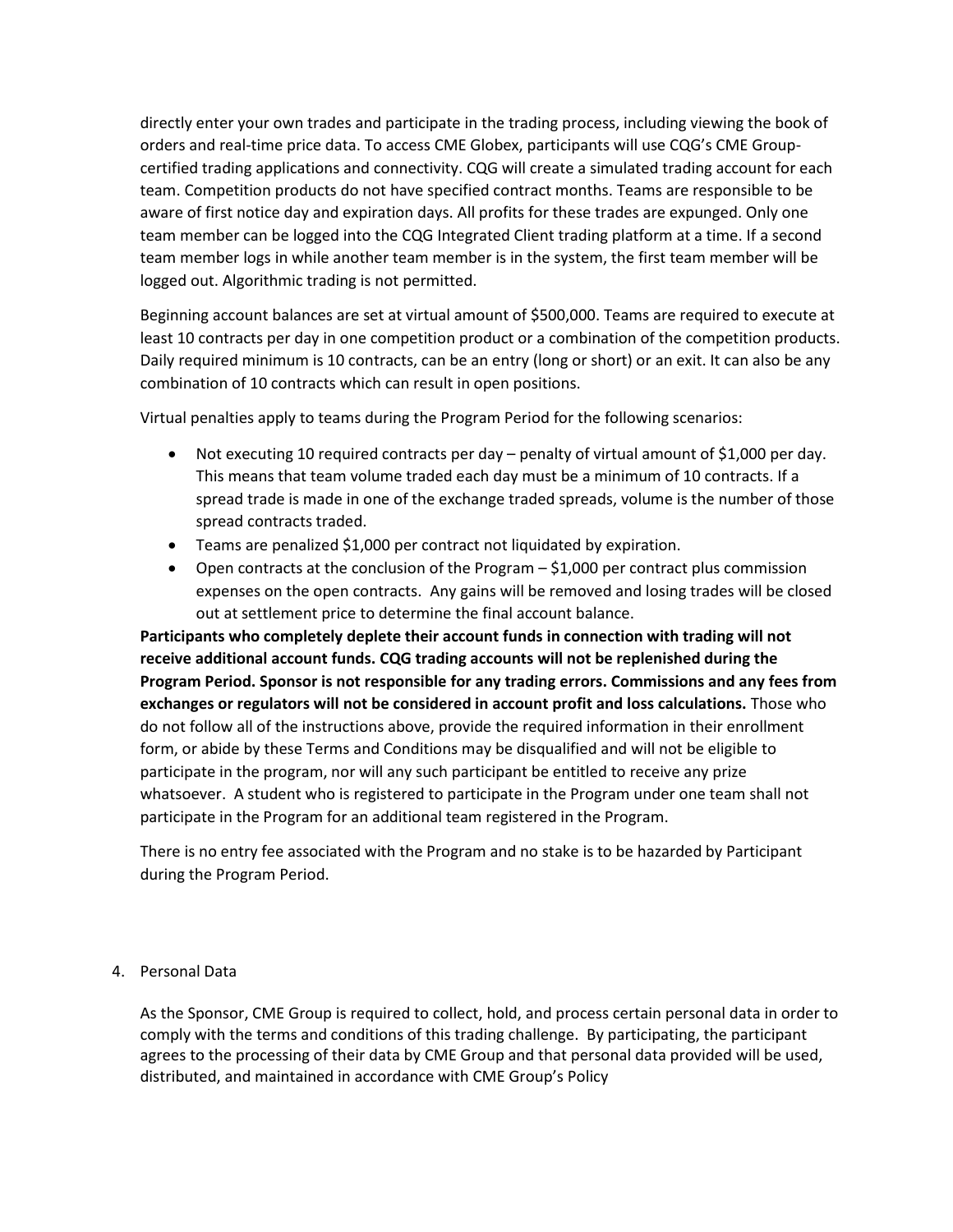directly enter your own trades and participate in the trading process, including viewing the book of orders and real-time price data. To access CME Globex, participants will use CQG's CME Groupcertified trading applications and connectivity. CQG will create a simulated trading account for each team. Competition products do not have specified contract months. Teams are responsible to be aware of first notice day and expiration days. All profits for these trades are expunged. Only one team member can be logged into the CQG Integrated Client trading platform at a time. If a second team member logs in while another team member is in the system, the first team member will be logged out. Algorithmic trading is not permitted.

Beginning account balances are set at virtual amount of \$500,000. Teams are required to execute at least 10 contracts per day in one competition product or a combination of the competition products. Daily required minimum is 10 contracts, can be an entry (long or short) or an exit. It can also be any combination of 10 contracts which can result in open positions.

Virtual penalties apply to teams during the Program Period for the following scenarios:

- Not executing 10 required contracts per day penalty of virtual amount of \$1,000 per day. This means that team volume traded each day must be a minimum of 10 contracts. If a spread trade is made in one of the exchange traded spreads, volume is the number of those spread contracts traded.
- Teams are penalized \$1,000 per contract not liquidated by expiration.
- Open contracts at the conclusion of the Program \$1,000 per contract plus commission expenses on the open contracts. Any gains will be removed and losing trades will be closed out at settlement price to determine the final account balance.

**Participants who completely deplete their account funds in connection with trading will not receive additional account funds. CQG trading accounts will not be replenished during the Program Period. Sponsor is not responsible for any trading errors. Commissions and any fees from exchanges or regulators will not be considered in account profit and loss calculations.** Those who do not follow all of the instructions above, provide the required information in their enrollment form, or abide by these Terms and Conditions may be disqualified and will not be eligible to participate in the program, nor will any such participant be entitled to receive any prize whatsoever. A student who is registered to participate in the Program under one team shall not participate in the Program for an additional team registered in the Program.

There is no entry fee associated with the Program and no stake is to be hazarded by Participant during the Program Period.

4. Personal Data

As the Sponsor, CME Group is required to collect, hold, and process certain personal data in order to comply with the terms and conditions of this trading challenge. By participating, the participant agrees to the processing of their data by CME Group and that personal data provided will be used, distributed, and maintained in accordance with CME Group's Policy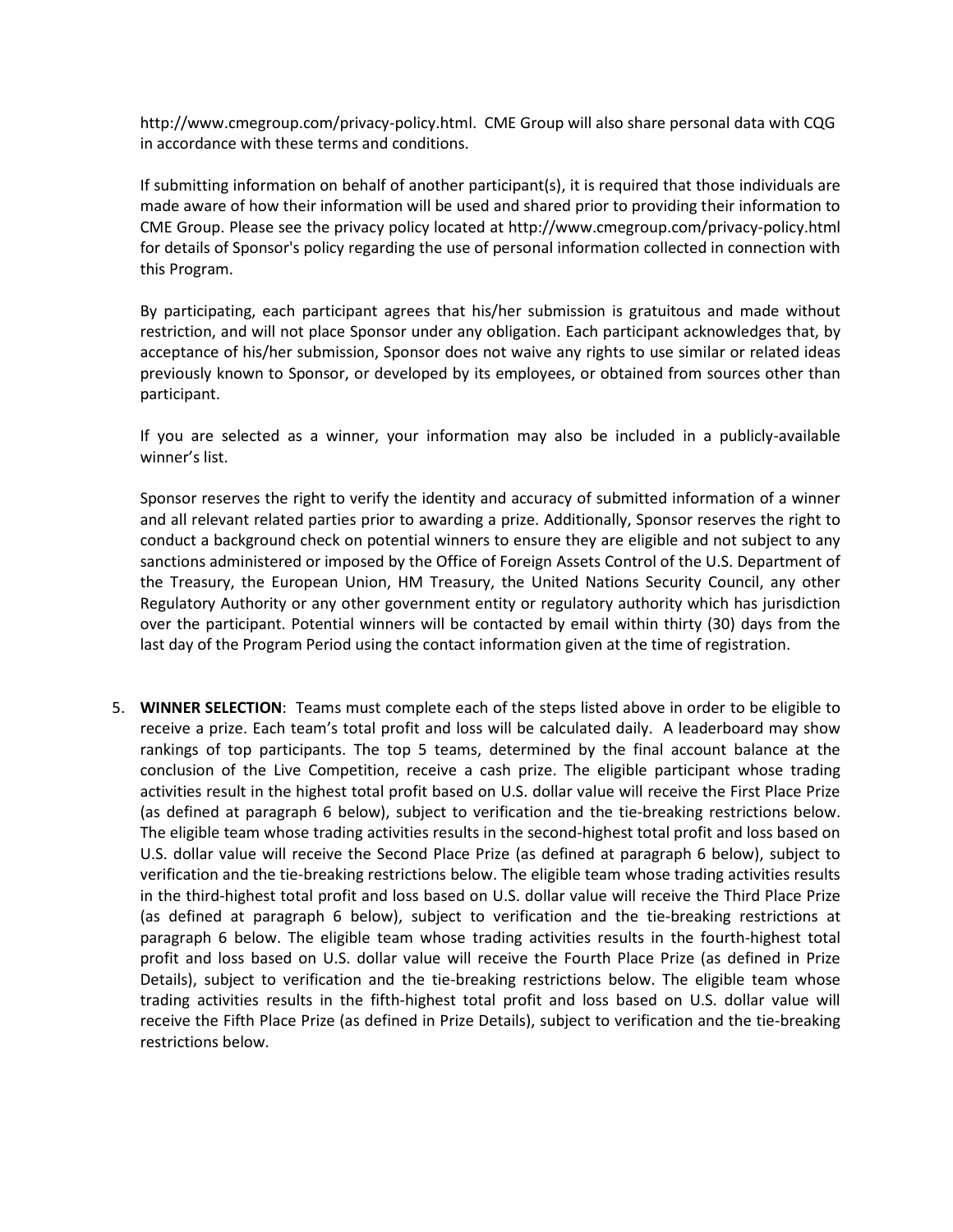http://www.cmegroup.com/privacy-policy.html. CME Group will also share personal data with CQG in accordance with these terms and conditions.

If submitting information on behalf of another participant(s), it is required that those individuals are made aware of how their information will be used and shared prior to providing their information to CME Group. Please see the privacy policy located at http://www.cmegroup.com/privacy-policy.html for details of Sponsor's policy regarding the use of personal information collected in connection with this Program.

By participating, each participant agrees that his/her submission is gratuitous and made without restriction, and will not place Sponsor under any obligation. Each participant acknowledges that, by acceptance of his/her submission, Sponsor does not waive any rights to use similar or related ideas previously known to Sponsor, or developed by its employees, or obtained from sources other than participant.

If you are selected as a winner, your information may also be included in a publicly-available winner's list.

Sponsor reserves the right to verify the identity and accuracy of submitted information of a winner and all relevant related parties prior to awarding a prize. Additionally, Sponsor reserves the right to conduct a background check on potential winners to ensure they are eligible and not subject to any sanctions administered or imposed by the Office of Foreign Assets Control of the U.S. Department of the Treasury, the European Union, HM Treasury, the United Nations Security Council, any other Regulatory Authority or any other government entity or regulatory authority which has jurisdiction over the participant. Potential winners will be contacted by email within thirty (30) days from the last day of the Program Period using the contact information given at the time of registration.

5. **WINNER SELECTION**: Teams must complete each of the steps listed above in order to be eligible to receive a prize. Each team's total profit and loss will be calculated daily. A leaderboard may show rankings of top participants. The top 5 teams, determined by the final account balance at the conclusion of the Live Competition, receive a cash prize. The eligible participant whose trading activities result in the highest total profit based on U.S. dollar value will receive the First Place Prize (as defined at paragraph 6 below), subject to verification and the tie-breaking restrictions below. The eligible team whose trading activities results in the second-highest total profit and loss based on U.S. dollar value will receive the Second Place Prize (as defined at paragraph 6 below), subject to verification and the tie-breaking restrictions below. The eligible team whose trading activities results in the third-highest total profit and loss based on U.S. dollar value will receive the Third Place Prize (as defined at paragraph 6 below), subject to verification and the tie-breaking restrictions at paragraph 6 below. The eligible team whose trading activities results in the fourth-highest total profit and loss based on U.S. dollar value will receive the Fourth Place Prize (as defined in Prize Details), subject to verification and the tie-breaking restrictions below. The eligible team whose trading activities results in the fifth-highest total profit and loss based on U.S. dollar value will receive the Fifth Place Prize (as defined in Prize Details), subject to verification and the tie-breaking restrictions below.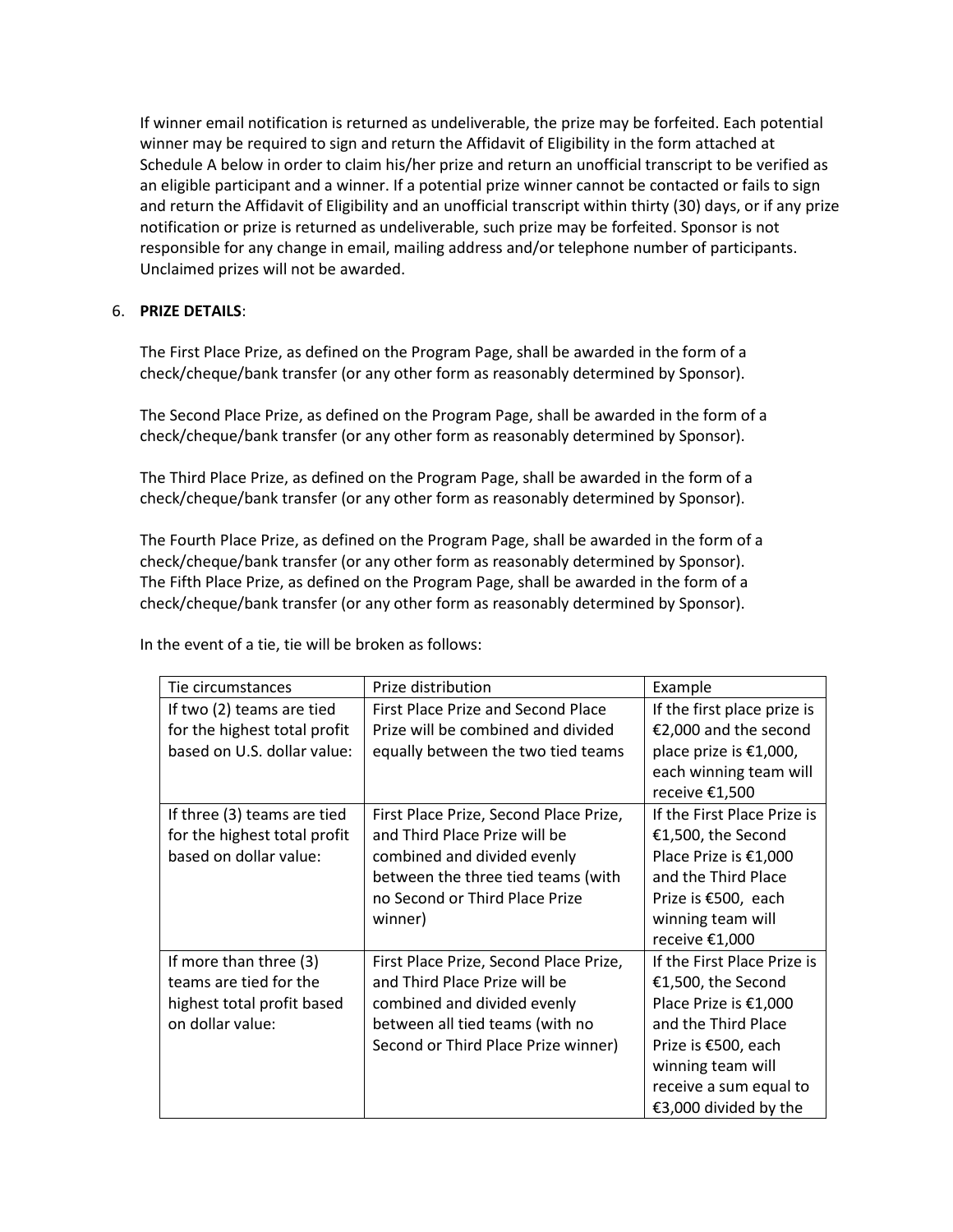If winner email notification is returned as undeliverable, the prize may be forfeited. Each potential winner may be required to sign and return the Affidavit of Eligibility in the form attached at Schedule A below in order to claim his/her prize and return an unofficial transcript to be verified as an eligible participant and a winner. If a potential prize winner cannot be contacted or fails to sign and return the Affidavit of Eligibility and an unofficial transcript within thirty (30) days, or if any prize notification or prize is returned as undeliverable, such prize may be forfeited. Sponsor is not responsible for any change in email, mailing address and/or telephone number of participants. Unclaimed prizes will not be awarded.

## 6. **PRIZE DETAILS**:

The First Place Prize, as defined on the Program Page, shall be awarded in the form of a check/cheque/bank transfer (or any other form as reasonably determined by Sponsor).

The Second Place Prize, as defined on the Program Page, shall be awarded in the form of a check/cheque/bank transfer (or any other form as reasonably determined by Sponsor).

The Third Place Prize, as defined on the Program Page, shall be awarded in the form of a check/cheque/bank transfer (or any other form as reasonably determined by Sponsor).

The Fourth Place Prize, as defined on the Program Page, shall be awarded in the form of a check/cheque/bank transfer (or any other form as reasonably determined by Sponsor). The Fifth Place Prize, as defined on the Program Page, shall be awarded in the form of a check/cheque/bank transfer (or any other form as reasonably determined by Sponsor).

| Tie circumstances            | Prize distribution                     | Example                     |
|------------------------------|----------------------------------------|-----------------------------|
| If two (2) teams are tied    | First Place Prize and Second Place     | If the first place prize is |
| for the highest total profit | Prize will be combined and divided     | €2,000 and the second       |
| based on U.S. dollar value:  | equally between the two tied teams     | place prize is €1,000,      |
|                              |                                        | each winning team will      |
|                              |                                        | receive €1,500              |
| If three (3) teams are tied  | First Place Prize, Second Place Prize, | If the First Place Prize is |
| for the highest total profit | and Third Place Prize will be          | €1,500, the Second          |
| based on dollar value:       | combined and divided evenly            | Place Prize is €1,000       |
|                              | between the three tied teams (with     | and the Third Place         |
|                              | no Second or Third Place Prize         | Prize is €500, each         |
|                              | winner)                                | winning team will           |
|                              |                                        | receive €1,000              |
| If more than three (3)       | First Place Prize, Second Place Prize, | If the First Place Prize is |
| teams are tied for the       | and Third Place Prize will be          | €1,500, the Second          |
| highest total profit based   | combined and divided evenly            | Place Prize is €1,000       |
| on dollar value:             | between all tied teams (with no        | and the Third Place         |
|                              | Second or Third Place Prize winner)    | Prize is €500, each         |
|                              |                                        | winning team will           |
|                              |                                        | receive a sum equal to      |
|                              |                                        | €3,000 divided by the       |

In the event of a tie, tie will be broken as follows: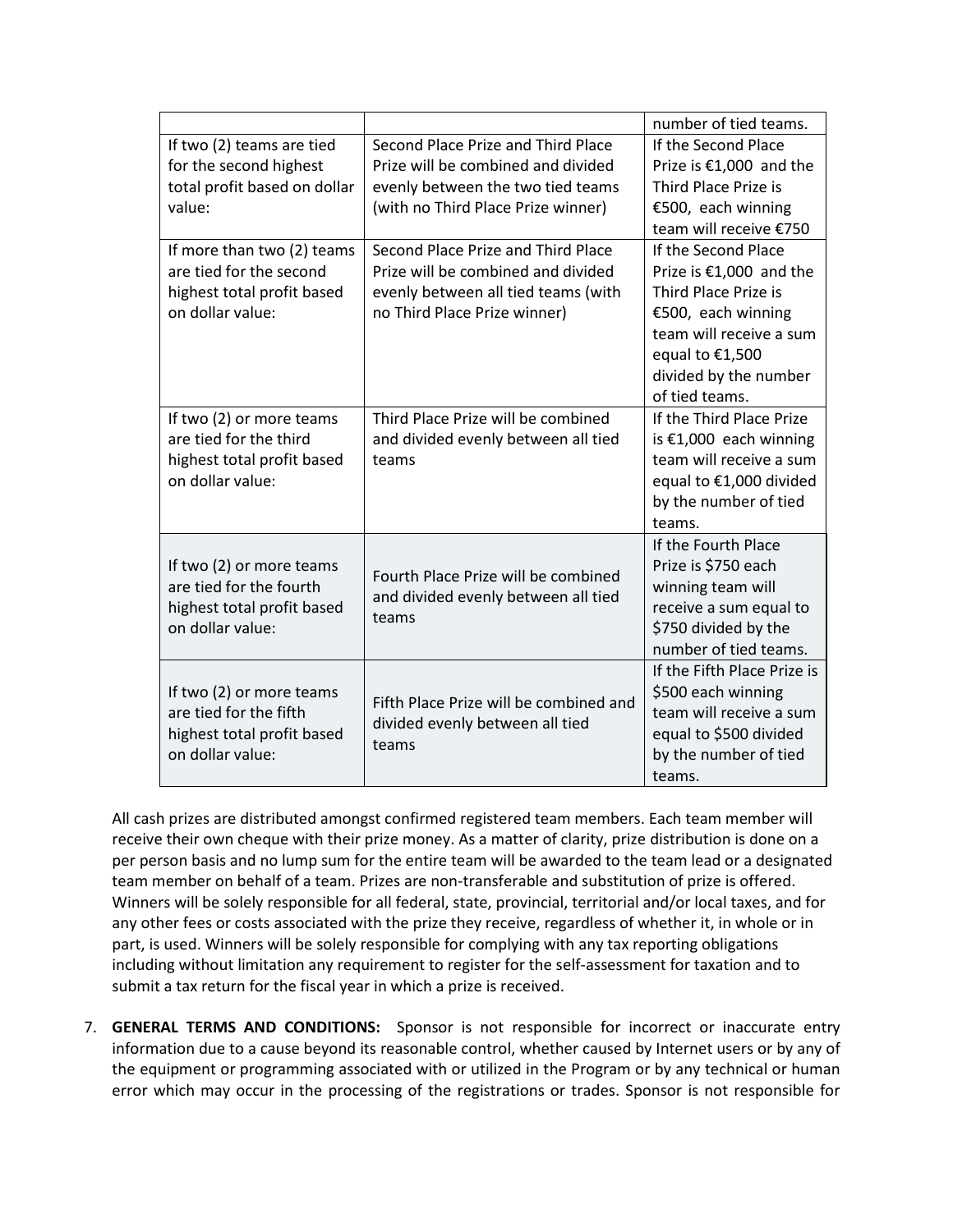|                                                                                                       |                                                                                     | number of tied teams.       |
|-------------------------------------------------------------------------------------------------------|-------------------------------------------------------------------------------------|-----------------------------|
| If two (2) teams are tied                                                                             | Second Place Prize and Third Place                                                  | If the Second Place         |
| for the second highest                                                                                | Prize will be combined and divided                                                  | Prize is €1,000 and the     |
| total profit based on dollar                                                                          | evenly between the two tied teams                                                   | Third Place Prize is        |
| value:                                                                                                | (with no Third Place Prize winner)                                                  | €500, each winning          |
|                                                                                                       |                                                                                     | team will receive €750      |
| If more than two (2) teams                                                                            | Second Place Prize and Third Place                                                  | If the Second Place         |
| are tied for the second                                                                               | Prize will be combined and divided                                                  | Prize is €1,000 and the     |
| highest total profit based                                                                            | evenly between all tied teams (with                                                 | Third Place Prize is        |
| on dollar value:                                                                                      | no Third Place Prize winner)                                                        | €500, each winning          |
|                                                                                                       |                                                                                     | team will receive a sum     |
|                                                                                                       |                                                                                     | equal to €1,500             |
|                                                                                                       |                                                                                     | divided by the number       |
|                                                                                                       |                                                                                     | of tied teams.              |
| If two (2) or more teams                                                                              | Third Place Prize will be combined                                                  | If the Third Place Prize    |
| are tied for the third                                                                                | and divided evenly between all tied                                                 | is $€1,000$ each winning    |
| highest total profit based                                                                            | teams                                                                               | team will receive a sum     |
| on dollar value:                                                                                      |                                                                                     | equal to €1,000 divided     |
|                                                                                                       |                                                                                     | by the number of tied       |
|                                                                                                       |                                                                                     | teams.                      |
| If two (2) or more teams<br>are tied for the fourth<br>highest total profit based<br>on dollar value: | Fourth Place Prize will be combined<br>and divided evenly between all tied<br>teams | If the Fourth Place         |
|                                                                                                       |                                                                                     | Prize is \$750 each         |
|                                                                                                       |                                                                                     | winning team will           |
|                                                                                                       |                                                                                     | receive a sum equal to      |
|                                                                                                       |                                                                                     | \$750 divided by the        |
|                                                                                                       |                                                                                     | number of tied teams.       |
| If two (2) or more teams<br>are tied for the fifth<br>highest total profit based<br>on dollar value:  | Fifth Place Prize will be combined and<br>divided evenly between all tied<br>teams  | If the Fifth Place Prize is |
|                                                                                                       |                                                                                     | \$500 each winning          |
|                                                                                                       |                                                                                     | team will receive a sum     |
|                                                                                                       |                                                                                     | equal to \$500 divided      |
|                                                                                                       |                                                                                     | by the number of tied       |
|                                                                                                       |                                                                                     | teams.                      |

All cash prizes are distributed amongst confirmed registered team members. Each team member will receive their own cheque with their prize money. As a matter of clarity, prize distribution is done on a per person basis and no lump sum for the entire team will be awarded to the team lead or a designated team member on behalf of a team. Prizes are non-transferable and substitution of prize is offered. Winners will be solely responsible for all federal, state, provincial, territorial and/or local taxes, and for any other fees or costs associated with the prize they receive, regardless of whether it, in whole or in part, is used. Winners will be solely responsible for complying with any tax reporting obligations including without limitation any requirement to register for the self-assessment for taxation and to submit a tax return for the fiscal year in which a prize is received.

7. **GENERAL TERMS AND CONDITIONS:** Sponsor is not responsible for incorrect or inaccurate entry information due to a cause beyond its reasonable control, whether caused by Internet users or by any of the equipment or programming associated with or utilized in the Program or by any technical or human error which may occur in the processing of the registrations or trades. Sponsor is not responsible for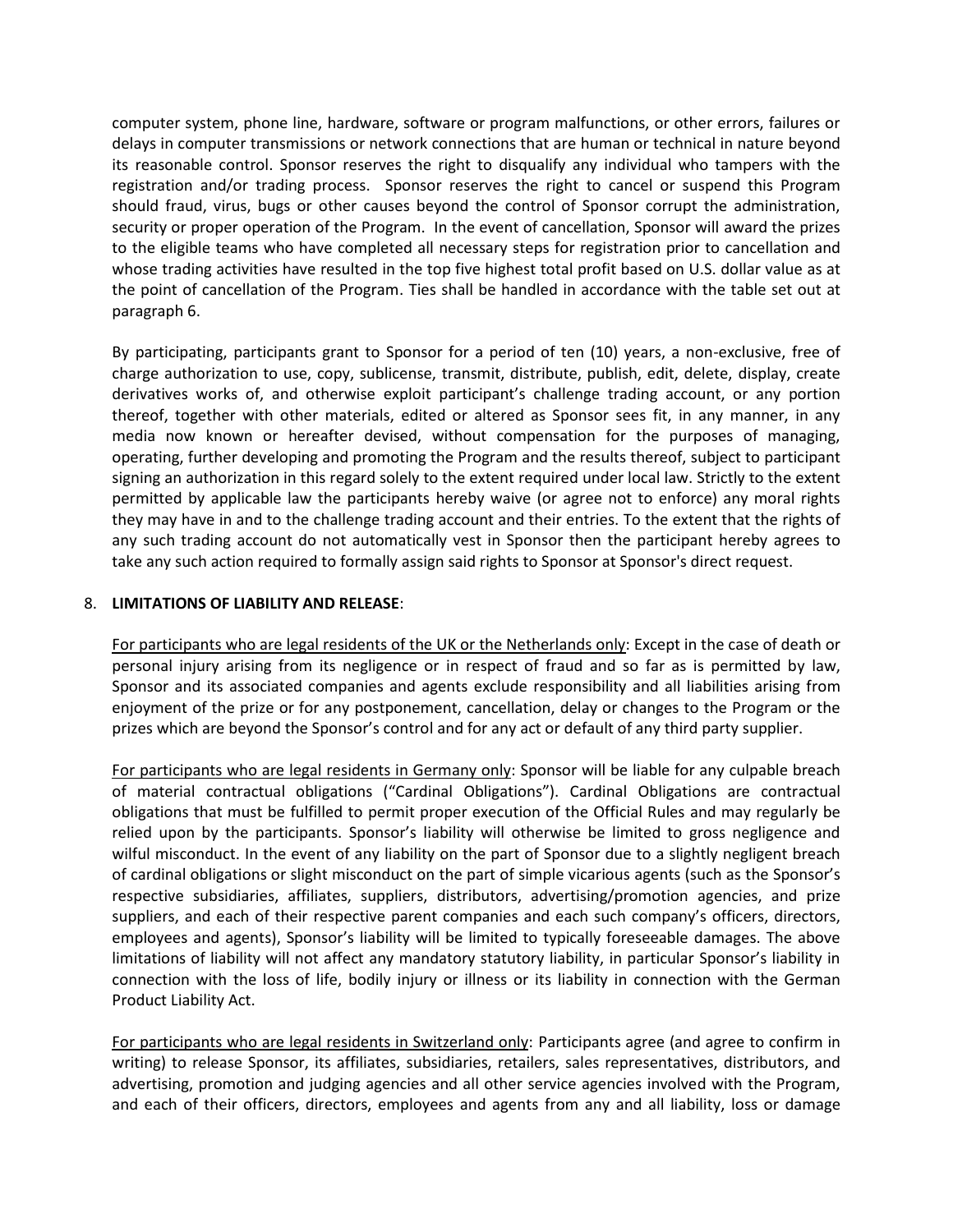computer system, phone line, hardware, software or program malfunctions, or other errors, failures or delays in computer transmissions or network connections that are human or technical in nature beyond its reasonable control. Sponsor reserves the right to disqualify any individual who tampers with the registration and/or trading process. Sponsor reserves the right to cancel or suspend this Program should fraud, virus, bugs or other causes beyond the control of Sponsor corrupt the administration, security or proper operation of the Program. In the event of cancellation, Sponsor will award the prizes to the eligible teams who have completed all necessary steps for registration prior to cancellation and whose trading activities have resulted in the top five highest total profit based on U.S. dollar value as at the point of cancellation of the Program. Ties shall be handled in accordance with the table set out at paragraph 6.

By participating, participants grant to Sponsor for a period of ten (10) years, a non-exclusive, free of charge authorization to use, copy, sublicense, transmit, distribute, publish, edit, delete, display, create derivatives works of, and otherwise exploit participant's challenge trading account, or any portion thereof, together with other materials, edited or altered as Sponsor sees fit, in any manner, in any media now known or hereafter devised, without compensation for the purposes of managing, operating, further developing and promoting the Program and the results thereof, subject to participant signing an authorization in this regard solely to the extent required under local law. Strictly to the extent permitted by applicable law the participants hereby waive (or agree not to enforce) any moral rights they may have in and to the challenge trading account and their entries. To the extent that the rights of any such trading account do not automatically vest in Sponsor then the participant hereby agrees to take any such action required to formally assign said rights to Sponsor at Sponsor's direct request.

#### 8. **LIMITATIONS OF LIABILITY AND RELEASE**:

For participants who are legal residents of the UK or the Netherlands only: Except in the case of death or personal injury arising from its negligence or in respect of fraud and so far as is permitted by law, Sponsor and its associated companies and agents exclude responsibility and all liabilities arising from enjoyment of the prize or for any postponement, cancellation, delay or changes to the Program or the prizes which are beyond the Sponsor's control and for any act or default of any third party supplier.

For participants who are legal residents in Germany only: Sponsor will be liable for any culpable breach of material contractual obligations ("Cardinal Obligations"). Cardinal Obligations are contractual obligations that must be fulfilled to permit proper execution of the Official Rules and may regularly be relied upon by the participants. Sponsor's liability will otherwise be limited to gross negligence and wilful misconduct. In the event of any liability on the part of Sponsor due to a slightly negligent breach of cardinal obligations or slight misconduct on the part of simple vicarious agents (such as the Sponsor's respective subsidiaries, affiliates, suppliers, distributors, advertising/promotion agencies, and prize suppliers, and each of their respective parent companies and each such company's officers, directors, employees and agents), Sponsor's liability will be limited to typically foreseeable damages. The above limitations of liability will not affect any mandatory statutory liability, in particular Sponsor's liability in connection with the loss of life, bodily injury or illness or its liability in connection with the German Product Liability Act.

For participants who are legal residents in Switzerland only: Participants agree (and agree to confirm in writing) to release Sponsor, its affiliates, subsidiaries, retailers, sales representatives, distributors, and advertising, promotion and judging agencies and all other service agencies involved with the Program, and each of their officers, directors, employees and agents from any and all liability, loss or damage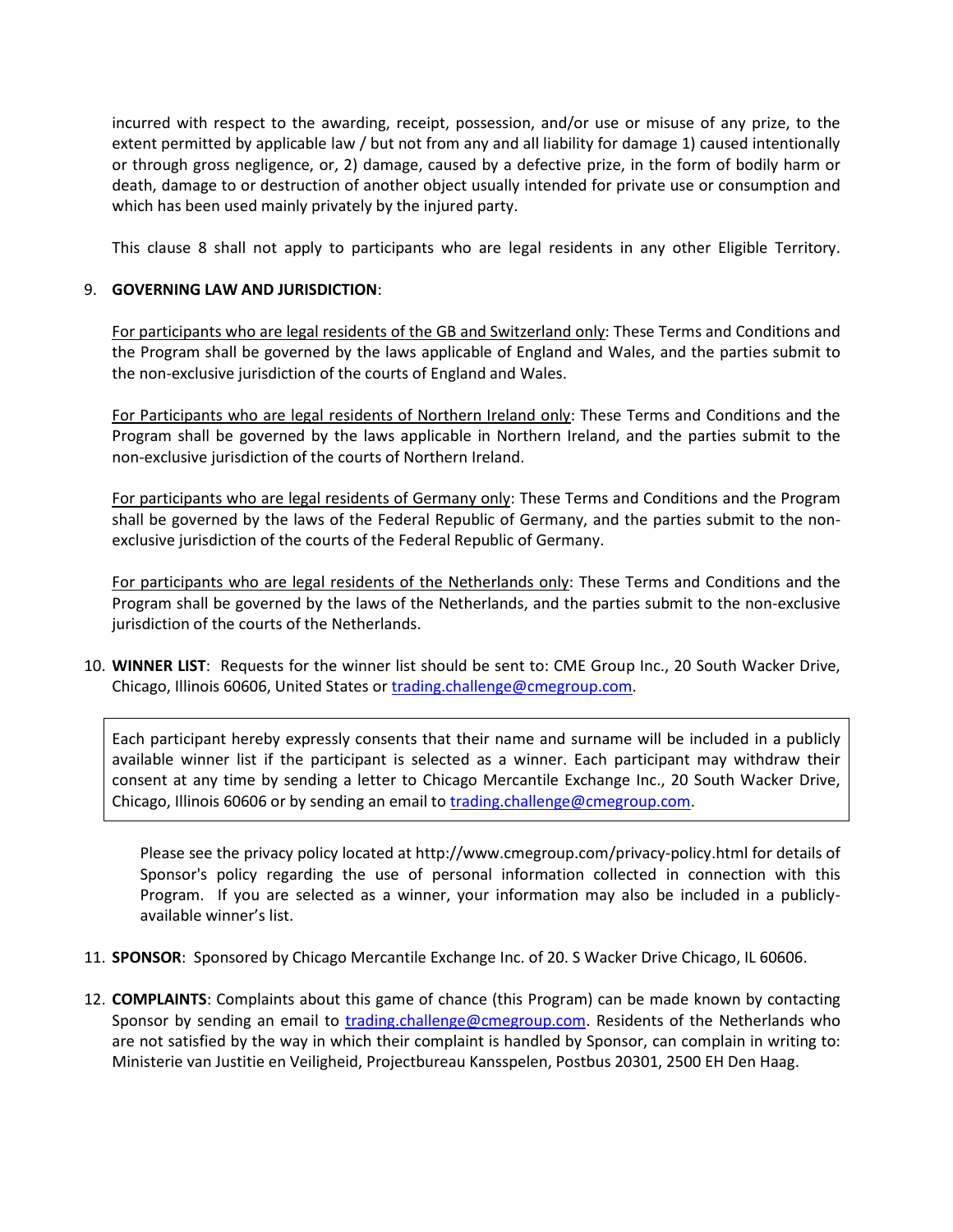incurred with respect to the awarding, receipt, possession, and/or use or misuse of any prize, to the extent permitted by applicable law / but not from any and all liability for damage 1) caused intentionally or through gross negligence, or, 2) damage, caused by a defective prize, in the form of bodily harm or death, damage to or destruction of another object usually intended for private use or consumption and which has been used mainly privately by the injured party.

This clause 8 shall not apply to participants who are legal residents in any other Eligible Territory.

### 9. **GOVERNING LAW AND JURISDICTION**:

For participants who are legal residents of the GB and Switzerland only: These Terms and Conditions and the Program shall be governed by the laws applicable of England and Wales, and the parties submit to the non-exclusive jurisdiction of the courts of England and Wales.

For Participants who are legal residents of Northern Ireland only: These Terms and Conditions and the Program shall be governed by the laws applicable in Northern Ireland, and the parties submit to the non-exclusive jurisdiction of the courts of Northern Ireland.

For participants who are legal residents of Germany only: These Terms and Conditions and the Program shall be governed by the laws of the Federal Republic of Germany, and the parties submit to the nonexclusive jurisdiction of the courts of the Federal Republic of Germany.

For participants who are legal residents of the Netherlands only: These Terms and Conditions and the Program shall be governed by the laws of the Netherlands, and the parties submit to the non-exclusive jurisdiction of the courts of the Netherlands.

10. **WINNER LIST**: Requests for the winner list should be sent to: CME Group Inc., 20 South Wacker Drive, Chicago, Illinois 60606, United States o[r trading.challenge@cmegroup.com.](mailto:trading.challenge@cmegroup.com)

Each participant hereby expressly consents that their name and surname will be included in a publicly available winner list if the participant is selected as a winner. Each participant may withdraw their consent at any time by sending a letter to Chicago Mercantile Exchange Inc., 20 South Wacker Drive, Chicago, Illinois 60606 or by sending an email to [trading.challenge@cmegroup.com.](mailto:trading.challenge@cmegroup.com)

Please see the privacy policy located at http://www.cmegroup.com/privacy-policy.html for details of Sponsor's policy regarding the use of personal information collected in connection with this Program. If you are selected as a winner, your information may also be included in a publiclyavailable winner's list.

- 11. **SPONSOR**: Sponsored by Chicago Mercantile Exchange Inc. of 20. S Wacker Drive Chicago, IL 60606.
- 12. **COMPLAINTS**: Complaints about this game of chance (this Program) can be made known by contacting Sponsor by sending an email to [trading.challenge@cmegroup.com.](mailto:trading.challenge@cmegroup.com) Residents of the Netherlands who are not satisfied by the way in which their complaint is handled by Sponsor, can complain in writing to: Ministerie van Justitie en Veiligheid, Projectbureau Kansspelen, Postbus 20301, 2500 EH Den Haag.